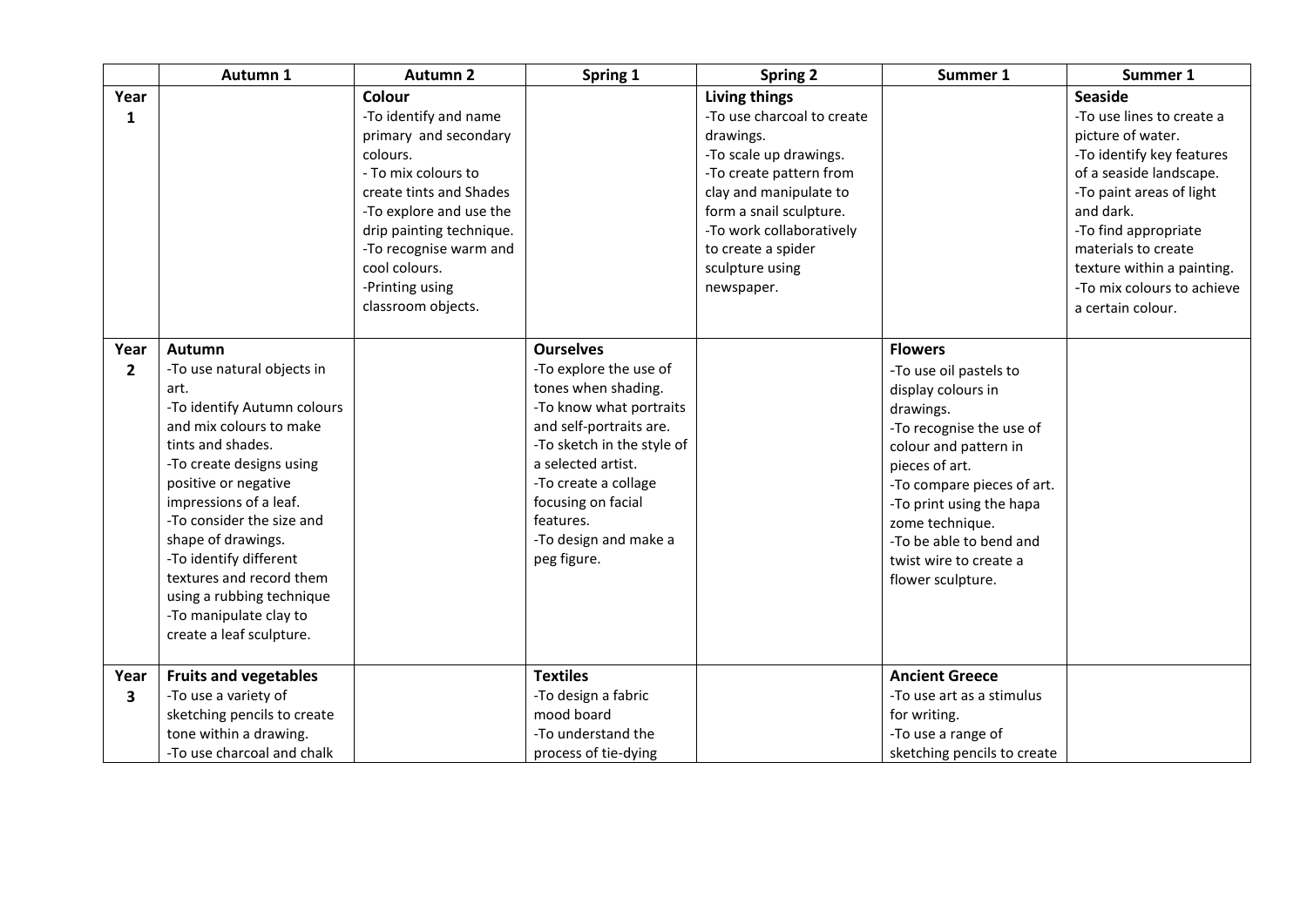|                        | Autumn 1                                                                                                                                                                                                                                                                                                                                                                                              | <b>Autumn 2</b>                                                                                                                                                                                                                                    | Spring 1                                                                                                                                                                                                                                                                       | <b>Spring 2</b>                                                                                                                                                                                                                                              | Summer 1                                                                                                                                                                                                                                                                                                  | Summer 1                                                                                                                                                                                                                                                                     |
|------------------------|-------------------------------------------------------------------------------------------------------------------------------------------------------------------------------------------------------------------------------------------------------------------------------------------------------------------------------------------------------------------------------------------------------|----------------------------------------------------------------------------------------------------------------------------------------------------------------------------------------------------------------------------------------------------|--------------------------------------------------------------------------------------------------------------------------------------------------------------------------------------------------------------------------------------------------------------------------------|--------------------------------------------------------------------------------------------------------------------------------------------------------------------------------------------------------------------------------------------------------------|-----------------------------------------------------------------------------------------------------------------------------------------------------------------------------------------------------------------------------------------------------------------------------------------------------------|------------------------------------------------------------------------------------------------------------------------------------------------------------------------------------------------------------------------------------------------------------------------------|
| Year<br>1              |                                                                                                                                                                                                                                                                                                                                                                                                       | <b>Colour</b><br>-To identify and name<br>primary and secondary<br>colours.<br>- To mix colours to<br>create tints and Shades<br>-To explore and use the<br>drip painting technique.<br>-To recognise warm and<br>cool colours.<br>-Printing using |                                                                                                                                                                                                                                                                                | <b>Living things</b><br>-To use charcoal to create<br>drawings.<br>-To scale up drawings.<br>-To create pattern from<br>clay and manipulate to<br>form a snail sculpture.<br>-To work collaboratively<br>to create a spider<br>sculpture using<br>newspaper. |                                                                                                                                                                                                                                                                                                           | <b>Seaside</b><br>-To use lines to create a<br>picture of water.<br>-To identify key features<br>of a seaside landscape.<br>-To paint areas of light<br>and dark.<br>-To find appropriate<br>materials to create<br>texture within a painting.<br>-To mix colours to achieve |
| Year<br>$\overline{2}$ | Autumn<br>-To use natural objects in<br>art.<br>-To identify Autumn colours<br>and mix colours to make<br>tints and shades.<br>-To create designs using<br>positive or negative<br>impressions of a leaf.<br>-To consider the size and<br>shape of drawings.<br>-To identify different<br>textures and record them<br>using a rubbing technique<br>-To manipulate clay to<br>create a leaf sculpture. | classroom objects.                                                                                                                                                                                                                                 | <b>Ourselves</b><br>-To explore the use of<br>tones when shading.<br>-To know what portraits<br>and self-portraits are.<br>-To sketch in the style of<br>a selected artist.<br>-To create a collage<br>focusing on facial<br>features.<br>-To design and make a<br>peg figure. |                                                                                                                                                                                                                                                              | <b>Flowers</b><br>-To use oil pastels to<br>display colours in<br>drawings.<br>-To recognise the use of<br>colour and pattern in<br>pieces of art.<br>-To compare pieces of art.<br>-To print using the hapa<br>zome technique.<br>-To be able to bend and<br>twist wire to create a<br>flower sculpture. | a certain colour.                                                                                                                                                                                                                                                            |
| Year<br>3              | <b>Fruits and vegetables</b><br>-To use a variety of<br>sketching pencils to create<br>tone within a drawing.<br>-To use charcoal and chalk                                                                                                                                                                                                                                                           |                                                                                                                                                                                                                                                    | <b>Textiles</b><br>-To design a fabric<br>mood board<br>-To understand the<br>process of tie-dying                                                                                                                                                                             |                                                                                                                                                                                                                                                              | <b>Ancient Greece</b><br>-To use art as a stimulus<br>for writing.<br>-To use a range of<br>sketching pencils to create                                                                                                                                                                                   |                                                                                                                                                                                                                                                                              |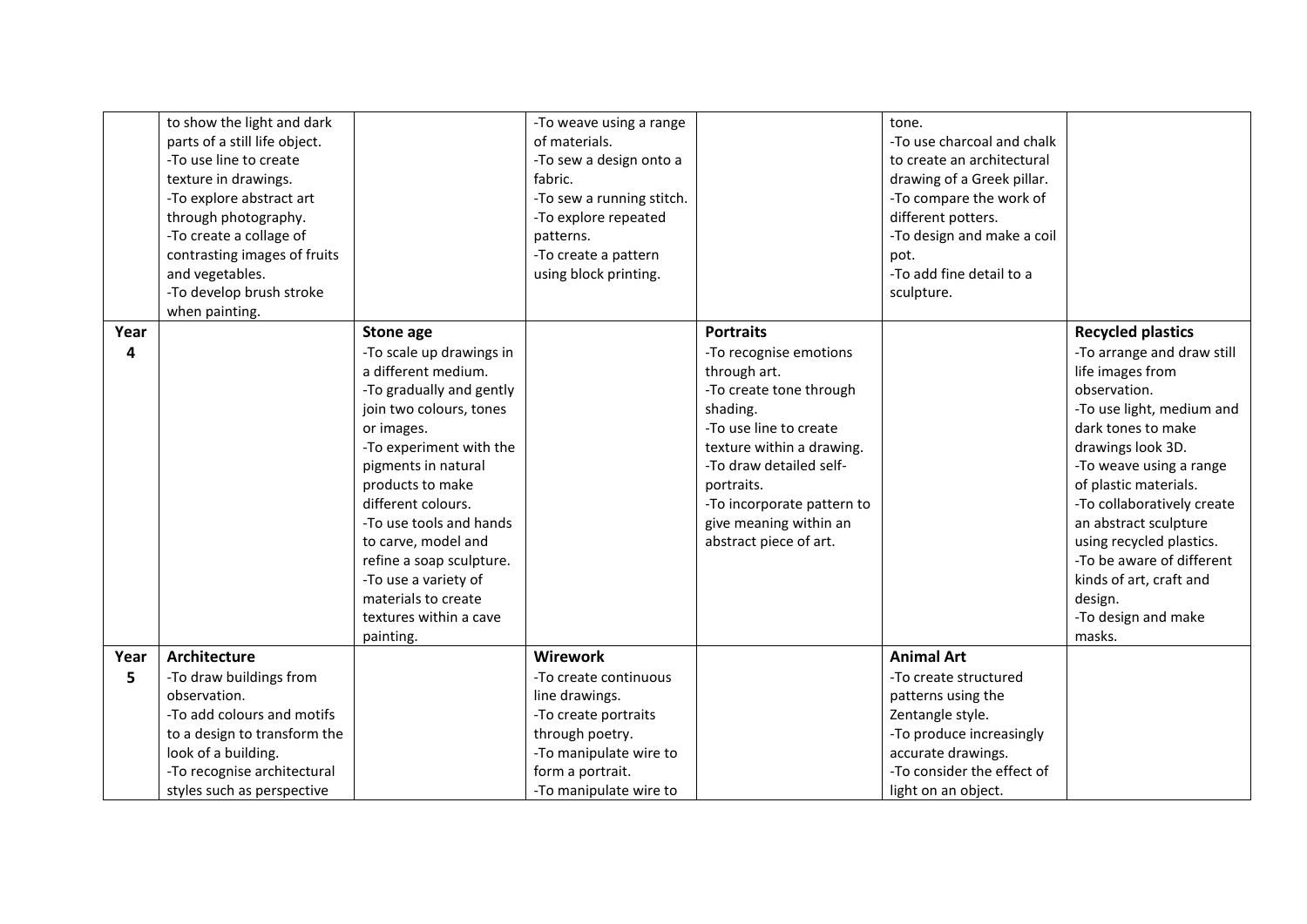|           | to show the light and dark<br>parts of a still life object.<br>-To use line to create<br>texture in drawings.<br>-To explore abstract art<br>through photography.<br>-To create a collage of<br>contrasting images of fruits<br>and vegetables.<br>-To develop brush stroke<br>when painting. |                                                                                                                                                                                                                                                                                                                                                                                                          | -To weave using a range<br>of materials.<br>-To sew a design onto a<br>fabric.<br>-To sew a running stitch.<br>-To explore repeated<br>patterns.<br>-To create a pattern<br>using block printing. |                                                                                                                                                                                                                                                                                     | tone.<br>-To use charcoal and chalk<br>to create an architectural<br>drawing of a Greek pillar.<br>-To compare the work of<br>different potters.<br>-To design and make a coil<br>pot.<br>-To add fine detail to a<br>sculpture. |                                                                                                                                                                                                                                                                                                                                                                                                               |
|-----------|-----------------------------------------------------------------------------------------------------------------------------------------------------------------------------------------------------------------------------------------------------------------------------------------------|----------------------------------------------------------------------------------------------------------------------------------------------------------------------------------------------------------------------------------------------------------------------------------------------------------------------------------------------------------------------------------------------------------|---------------------------------------------------------------------------------------------------------------------------------------------------------------------------------------------------|-------------------------------------------------------------------------------------------------------------------------------------------------------------------------------------------------------------------------------------------------------------------------------------|----------------------------------------------------------------------------------------------------------------------------------------------------------------------------------------------------------------------------------|---------------------------------------------------------------------------------------------------------------------------------------------------------------------------------------------------------------------------------------------------------------------------------------------------------------------------------------------------------------------------------------------------------------|
| Year<br>4 |                                                                                                                                                                                                                                                                                               | <b>Stone age</b><br>-To scale up drawings in<br>a different medium.<br>-To gradually and gently<br>join two colours, tones<br>or images.<br>-To experiment with the<br>pigments in natural<br>products to make<br>different colours.<br>-To use tools and hands<br>to carve, model and<br>refine a soap sculpture.<br>-To use a variety of<br>materials to create<br>textures within a cave<br>painting. |                                                                                                                                                                                                   | <b>Portraits</b><br>-To recognise emotions<br>through art.<br>-To create tone through<br>shading.<br>-To use line to create<br>texture within a drawing.<br>-To draw detailed self-<br>portraits.<br>-To incorporate pattern to<br>give meaning within an<br>abstract piece of art. |                                                                                                                                                                                                                                  | <b>Recycled plastics</b><br>-To arrange and draw still<br>life images from<br>observation.<br>-To use light, medium and<br>dark tones to make<br>drawings look 3D.<br>-To weave using a range<br>of plastic materials.<br>-To collaboratively create<br>an abstract sculpture<br>using recycled plastics.<br>-To be aware of different<br>kinds of art, craft and<br>design.<br>-To design and make<br>masks. |
| Year<br>5 | <b>Architecture</b><br>-To draw buildings from<br>observation.<br>-To add colours and motifs<br>to a design to transform the<br>look of a building.<br>-To recognise architectural<br>styles such as perspective                                                                              |                                                                                                                                                                                                                                                                                                                                                                                                          | Wirework<br>-To create continuous<br>line drawings.<br>-To create portraits<br>through poetry.<br>-To manipulate wire to<br>form a portrait.<br>-To manipulate wire to                            |                                                                                                                                                                                                                                                                                     | <b>Animal Art</b><br>-To create structured<br>patterns using the<br>Zentangle style.<br>-To produce increasingly<br>accurate drawings.<br>-To consider the effect of<br>light on an object.                                      |                                                                                                                                                                                                                                                                                                                                                                                                               |